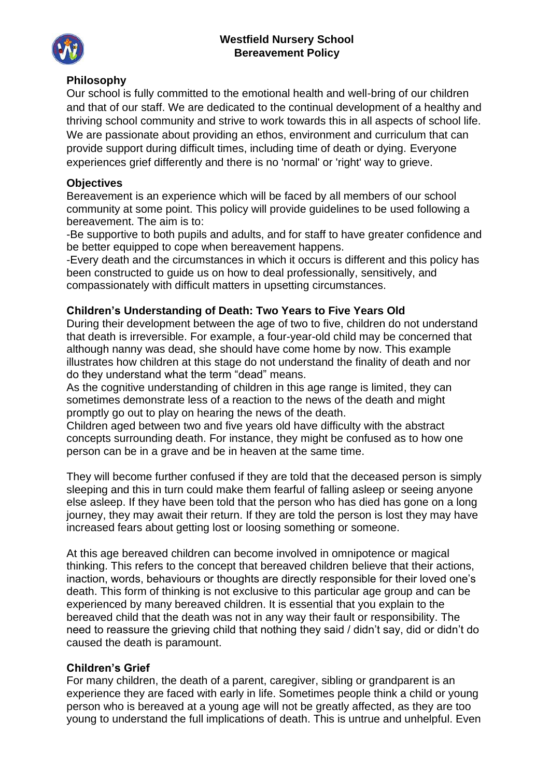

### **Philosophy**

Our school is fully committed to the emotional health and well-bring of our children and that of our staff. We are dedicated to the continual development of a healthy and thriving school community and strive to work towards this in all aspects of school life. We are passionate about providing an ethos, environment and curriculum that can provide support during difficult times, including time of death or dying. Everyone experiences grief differently and there is no 'normal' or 'right' way to grieve.

## **Objectives**

Bereavement is an experience which will be faced by all members of our school community at some point. This policy will provide guidelines to be used following a bereavement. The aim is to:

-Be supportive to both pupils and adults, and for staff to have greater confidence and be better equipped to cope when bereavement happens.

-Every death and the circumstances in which it occurs is different and this policy has been constructed to guide us on how to deal professionally, sensitively, and compassionately with difficult matters in upsetting circumstances.

## **Children's Understanding of Death: Two Years to Five Years Old**

During their development between the age of two to five, children do not understand that death is irreversible. For example, a four-year-old child may be concerned that although nanny was dead, she should have come home by now. This example illustrates how children at this stage do not understand the finality of death and nor do they understand what the term "dead" means.

As the cognitive understanding of children in this age range is limited, they can sometimes demonstrate less of a reaction to the news of the death and might promptly go out to play on hearing the news of the death.

Children aged between two and five years old have difficulty with the abstract concepts surrounding death. For instance, they might be confused as to how one person can be in a grave and be in heaven at the same time.

They will become further confused if they are told that the deceased person is simply sleeping and this in turn could make them fearful of falling asleep or seeing anyone else asleep. If they have been told that the person who has died has gone on a long journey, they may await their return. If they are told the person is lost they may have increased fears about getting lost or loosing something or someone.

At this age bereaved children can become involved in omnipotence or magical thinking. This refers to the concept that bereaved children believe that their actions, inaction, words, behaviours or thoughts are directly responsible for their loved one's death. This form of thinking is not exclusive to this particular age group and can be experienced by many bereaved children. It is essential that you explain to the bereaved child that the death was not in any way their fault or responsibility. The need to reassure the grieving child that nothing they said / didn't say, did or didn't do caused the death is paramount.

## **Children's Grief**

For many children, the death of a parent, caregiver, sibling or grandparent is an experience they are faced with early in life. Sometimes people think a child or young person who is bereaved at a young age will not be greatly affected, as they are too young to understand the full implications of death. This is untrue and unhelpful. Even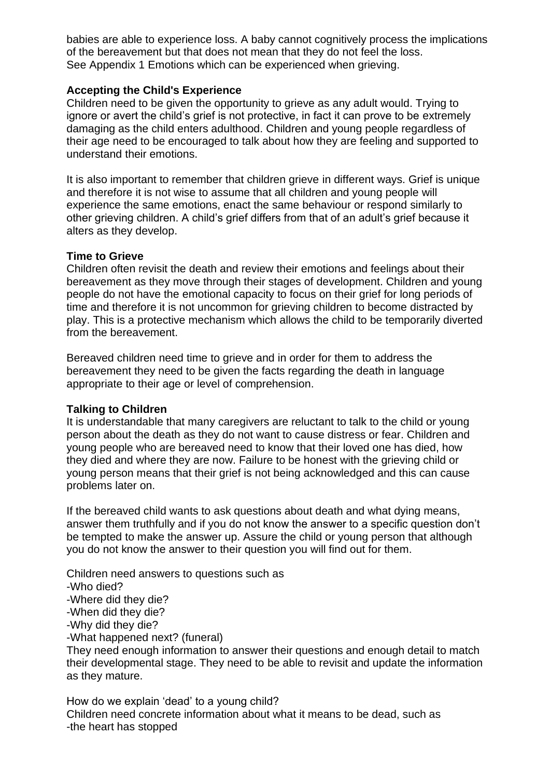babies are able to experience loss. A baby cannot cognitively process the implications of the bereavement but that does not mean that they do not feel the loss. See Appendix 1 Emotions which can be experienced when grieving.

### **Accepting the Child's Experience**

Children need to be given the opportunity to grieve as any adult would. Trying to ignore or avert the child's grief is not protective, in fact it can prove to be extremely damaging as the child enters adulthood. Children and young people regardless of their age need to be encouraged to talk about how they are feeling and supported to understand their emotions.

It is also important to remember that children grieve in different ways. Grief is unique and therefore it is not wise to assume that all children and young people will experience the same emotions, enact the same behaviour or respond similarly to other grieving children. A child's grief differs from that of an adult's grief because it alters as they develop.

### **Time to Grieve**

Children often revisit the death and review their emotions and feelings about their bereavement as they move through their stages of development. Children and young people do not have the emotional capacity to focus on their grief for long periods of time and therefore it is not uncommon for grieving children to become distracted by play. This is a protective mechanism which allows the child to be temporarily diverted from the bereavement.

Bereaved children need time to grieve and in order for them to address the bereavement they need to be given the facts regarding the death in language appropriate to their age or level of comprehension.

### **Talking to Children**

It is understandable that many caregivers are reluctant to talk to the child or young person about the death as they do not want to cause distress or fear. Children and young people who are bereaved need to know that their loved one has died, how they died and where they are now. Failure to be honest with the grieving child or young person means that their grief is not being acknowledged and this can cause problems later on.

If the bereaved child wants to ask questions about death and what dying means, answer them truthfully and if you do not know the answer to a specific question don't be tempted to make the answer up. Assure the child or young person that although you do not know the answer to their question you will find out for them.

Children need answers to questions such as -Who died? -Where did they die? -When did they die? -Why did they die? -What happened next? (funeral) They need enough information to answer their questions and enough detail to match their developmental stage. They need to be able to revisit and update the information

as they mature. How do we explain 'dead' to a young child?

Children need concrete information about what it means to be dead, such as -the heart has stopped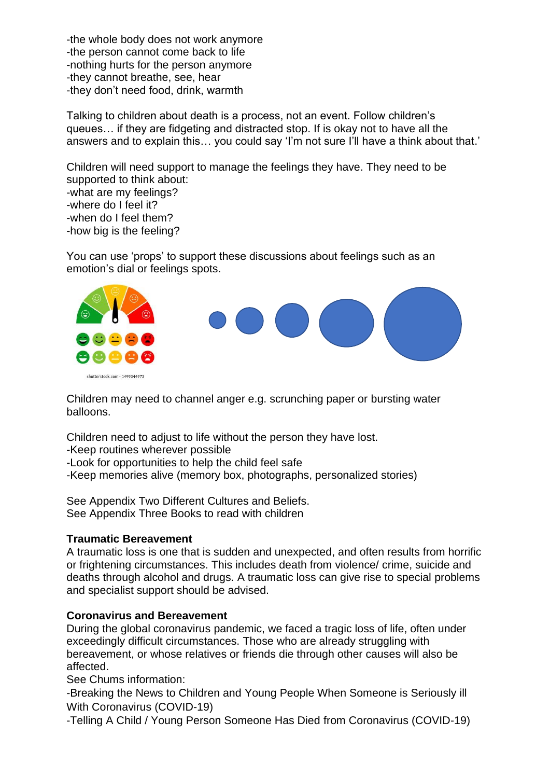-the whole body does not work anymore -the person cannot come back to life -nothing hurts for the person anymore -they cannot breathe, see, hear -they don't need food, drink, warmth

Talking to children about death is a process, not an event. Follow children's queues… if they are fidgeting and distracted stop. If is okay not to have all the answers and to explain this… you could say 'I'm not sure I'll have a think about that.'

Children will need support to manage the feelings they have. They need to be supported to think about: -what are my feelings? -where do I feel it? -when do I feel them? -how big is the feeling?

You can use 'props' to support these discussions about feelings such as an emotion's dial or feelings spots.



Children may need to channel anger e.g. scrunching paper or bursting water balloons.

Children need to adjust to life without the person they have lost.

-Keep routines wherever possible

-Look for opportunities to help the child feel safe

-Keep memories alive (memory box, photographs, personalized stories)

See Appendix Two Different Cultures and Beliefs. See Appendix Three Books to read with children

### **Traumatic Bereavement**

A traumatic loss is one that is sudden and unexpected, and often results from horrific or frightening circumstances. This includes death from violence/ crime, suicide and deaths through alcohol and drugs. A traumatic loss can give rise to special problems and specialist support should be advised.

### **Coronavirus and Bereavement**

During the global coronavirus pandemic, we faced a tragic loss of life, often under exceedingly difficult circumstances. Those who are already struggling with bereavement, or whose relatives or friends die through other causes will also be affected.

See Chums information:

-Breaking the News to Children and Young People When Someone is Seriously ill With Coronavirus (COVID-19)

-Telling A Child / Young Person Someone Has Died from Coronavirus (COVID-19)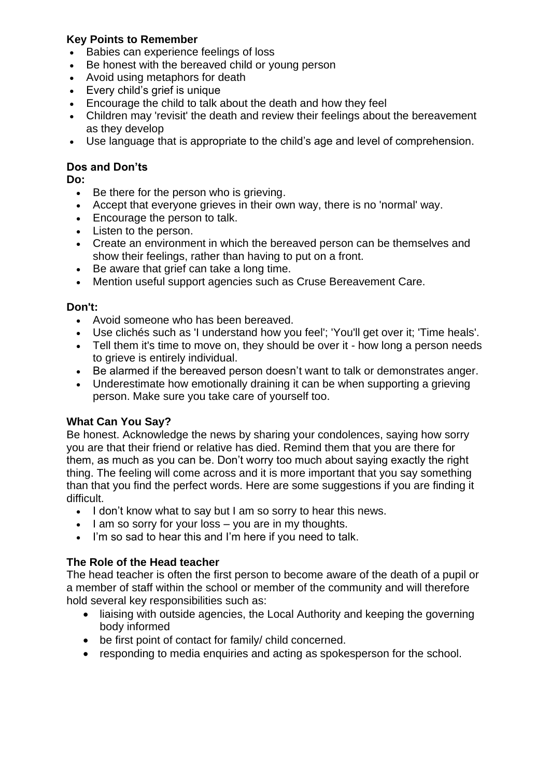## **Key Points to Remember**

- Babies can experience feelings of loss
- Be honest with the bereaved child or young person
- Avoid using metaphors for death
- Every child's grief is unique
- Encourage the child to talk about the death and how they feel
- Children may 'revisit' the death and review their feelings about the bereavement as they develop
- Use language that is appropriate to the child's age and level of comprehension.

### **Dos and Don'ts**

**Do:**

- Be there for the person who is grieving.
- Accept that everyone grieves in their own way, there is no 'normal' way.
- Encourage the person to talk.
- Listen to the person.
- Create an environment in which the bereaved person can be themselves and show their feelings, rather than having to put on a front.
- Be aware that grief can take a long time.
- Mention useful support agencies such as Cruse Bereavement Care.

### **Don't:**

- Avoid someone who has been bereaved.
- Use clichés such as 'I understand how you feel'; 'You'll get over it; 'Time heals'.
- Tell them it's time to move on, they should be over it how long a person needs to grieve is entirely individual.
- Be alarmed if the bereaved person doesn't want to talk or demonstrates anger.
- Underestimate how emotionally draining it can be when supporting a grieving person. Make sure you take care of yourself too.

### **What Can You Say?**

Be honest. Acknowledge the news by sharing your condolences, saying how sorry you are that their friend or relative has died. Remind them that you are there for them, as much as you can be. Don't worry too much about saying exactly the right thing. The feeling will come across and it is more important that you say something than that you find the perfect words. Here are some suggestions if you are finding it difficult.

- I don't know what to say but I am so sorry to hear this news.
- I am so sorry for your loss you are in my thoughts.
- I'm so sad to hear this and I'm here if you need to talk.

## **The Role of the Head teacher**

The head teacher is often the first person to become aware of the death of a pupil or a member of staff within the school or member of the community and will therefore hold several key responsibilities such as:

- liaising with outside agencies, the Local Authority and keeping the governing body informed
- be first point of contact for family/ child concerned.
- responding to media enquiries and acting as spokesperson for the school.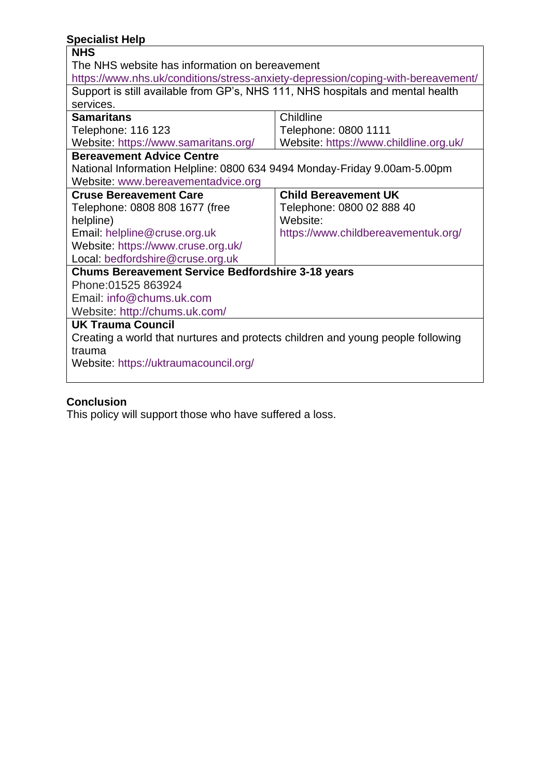| <b>Specialist Help</b>                                                           |                                        |
|----------------------------------------------------------------------------------|----------------------------------------|
| <b>NHS</b>                                                                       |                                        |
| The NHS website has information on bereavement                                   |                                        |
| https://www.nhs.uk/conditions/stress-anxiety-depression/coping-with-bereavement/ |                                        |
| Support is still available from GP's, NHS 111, NHS hospitals and mental health   |                                        |
| services.                                                                        |                                        |
| <b>Samaritans</b>                                                                | Childline                              |
| Telephone: 116 123                                                               | Telephone: 0800 1111                   |
| Website: https://www.samaritans.org/                                             | Website: https://www.childline.org.uk/ |
| <b>Bereavement Advice Centre</b>                                                 |                                        |
| National Information Helpline: 0800 634 9494 Monday-Friday 9.00am-5.00pm         |                                        |
| Website: www.bereavementadvice.org                                               |                                        |
| <b>Cruse Bereavement Care</b>                                                    | <b>Child Bereavement UK</b>            |
| Telephone: 0808 808 1677 (free                                                   | Telephone: 0800 02 888 40              |
| helpline)                                                                        | Website:                               |
| Email: helpline@cruse.org.uk                                                     | https://www.childbereavementuk.org/    |
| Website: https://www.cruse.org.uk/                                               |                                        |
| Local: bedfordshire@cruse.org.uk                                                 |                                        |
| <b>Chums Bereavement Service Bedfordshire 3-18 years</b>                         |                                        |
| Phone: 01525 863924                                                              |                                        |
| Email: info@chums.uk.com                                                         |                                        |
| Website: http://chums.uk.com/                                                    |                                        |
| <b>UK Trauma Council</b>                                                         |                                        |
| Creating a world that nurtures and protects children and young people following  |                                        |
| trauma                                                                           |                                        |
| Website: https://uktraumacouncil.org/                                            |                                        |
|                                                                                  |                                        |

# **Conclusion**

This policy will support those who have suffered a loss.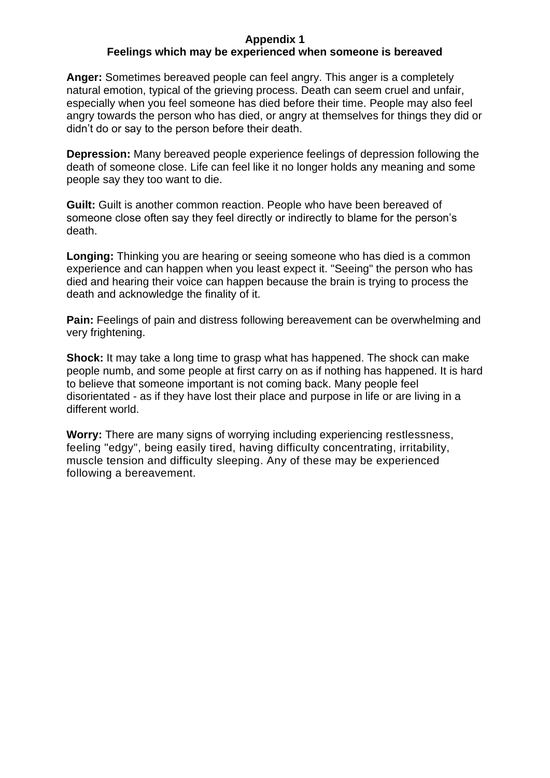### **Appendix 1**

## **Feelings which may be experienced when someone is bereaved**

**Anger:** Sometimes bereaved people can feel angry. This anger is a completely natural emotion, typical of the grieving process. Death can seem cruel and unfair, especially when you feel someone has died before their time. People may also feel angry towards the person who has died, or angry at themselves for things they did or didn't do or say to the person before their death.

**Depression:** Many bereaved people experience feelings of depression following the death of someone close. Life can feel like it no longer holds any meaning and some people say they too want to die.

**Guilt:** Guilt is another common reaction. People who have been bereaved of someone close often say they feel directly or indirectly to blame for the person's death.

**Longing:** Thinking you are hearing or seeing someone who has died is a common experience and can happen when you least expect it. "Seeing" the person who has died and hearing their voice can happen because the brain is trying to process the death and acknowledge the finality of it.

**Pain:** Feelings of pain and distress following bereavement can be overwhelming and very frightening.

**Shock:** It may take a long time to grasp what has happened. The shock can make people numb, and some people at first carry on as if nothing has happened. It is hard to believe that someone important is not coming back. Many people feel disorientated - as if they have lost their place and purpose in life or are living in a different world.

**Worry:** There are many signs of worrying including experiencing restlessness, feeling "edgy", being easily tired, having difficulty concentrating, irritability, muscle tension and difficulty sleeping. Any of these may be experienced following a bereavement.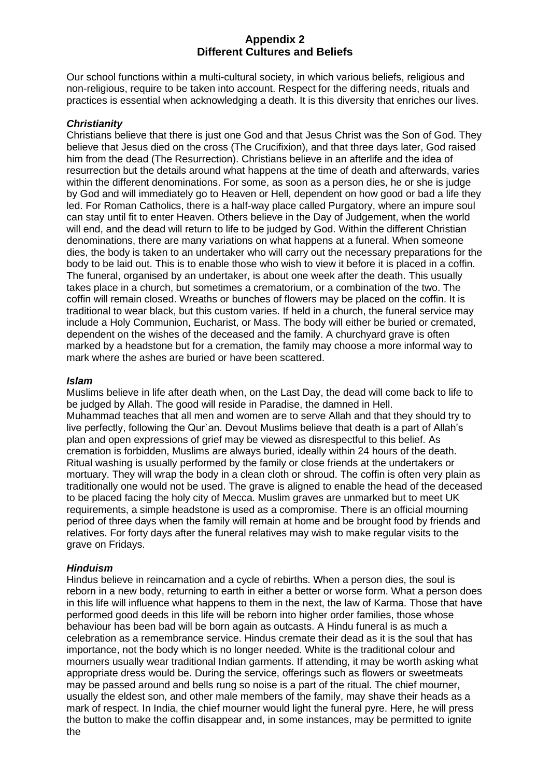### **Appendix 2 Different Cultures and Beliefs**

Our school functions within a multi-cultural society, in which various beliefs, religious and non-religious, require to be taken into account. Respect for the differing needs, rituals and practices is essential when acknowledging a death. It is this diversity that enriches our lives.

#### *Christianity*

Christians believe that there is just one God and that Jesus Christ was the Son of God. They believe that Jesus died on the cross (The Crucifixion), and that three days later, God raised him from the dead (The Resurrection). Christians believe in an afterlife and the idea of resurrection but the details around what happens at the time of death and afterwards, varies within the different denominations. For some, as soon as a person dies, he or she is judge by God and will immediately go to Heaven or Hell, dependent on how good or bad a life they led. For Roman Catholics, there is a half-way place called Purgatory, where an impure soul can stay until fit to enter Heaven. Others believe in the Day of Judgement, when the world will end, and the dead will return to life to be judged by God. Within the different Christian denominations, there are many variations on what happens at a funeral. When someone dies, the body is taken to an undertaker who will carry out the necessary preparations for the body to be laid out. This is to enable those who wish to view it before it is placed in a coffin. The funeral, organised by an undertaker, is about one week after the death. This usually takes place in a church, but sometimes a crematorium, or a combination of the two. The coffin will remain closed. Wreaths or bunches of flowers may be placed on the coffin. It is traditional to wear black, but this custom varies. If held in a church, the funeral service may include a Holy Communion, Eucharist, or Mass. The body will either be buried or cremated, dependent on the wishes of the deceased and the family. A churchyard grave is often marked by a headstone but for a cremation, the family may choose a more informal way to mark where the ashes are buried or have been scattered.

#### *Islam*

Muslims believe in life after death when, on the Last Day, the dead will come back to life to be judged by Allah. The good will reside in Paradise, the damned in Hell. Muhammad teaches that all men and women are to serve Allah and that they should try to live perfectly, following the Qur`an. Devout Muslims believe that death is a part of Allah's plan and open expressions of grief may be viewed as disrespectful to this belief. As cremation is forbidden, Muslims are always buried, ideally within 24 hours of the death. Ritual washing is usually performed by the family or close friends at the undertakers or mortuary. They will wrap the body in a clean cloth or shroud. The coffin is often very plain as traditionally one would not be used. The grave is aligned to enable the head of the deceased to be placed facing the holy city of Mecca. Muslim graves are unmarked but to meet UK requirements, a simple headstone is used as a compromise. There is an official mourning period of three days when the family will remain at home and be brought food by friends and relatives. For forty days after the funeral relatives may wish to make regular visits to the grave on Fridays.

#### *Hinduism*

Hindus believe in reincarnation and a cycle of rebirths. When a person dies, the soul is reborn in a new body, returning to earth in either a better or worse form. What a person does in this life will influence what happens to them in the next, the law of Karma. Those that have performed good deeds in this life will be reborn into higher order families, those whose behaviour has been bad will be born again as outcasts. A Hindu funeral is as much a celebration as a remembrance service. Hindus cremate their dead as it is the soul that has importance, not the body which is no longer needed. White is the traditional colour and mourners usually wear traditional Indian garments. If attending, it may be worth asking what appropriate dress would be. During the service, offerings such as flowers or sweetmeats may be passed around and bells rung so noise is a part of the ritual. The chief mourner, usually the eldest son, and other male members of the family, may shave their heads as a mark of respect. In India, the chief mourner would light the funeral pyre. Here, he will press the button to make the coffin disappear and, in some instances, may be permitted to ignite the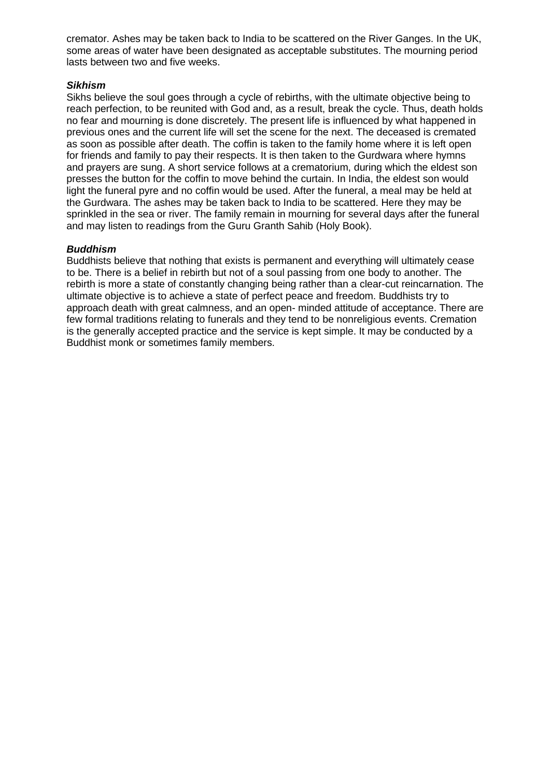cremator. Ashes may be taken back to India to be scattered on the River Ganges. In the UK, some areas of water have been designated as acceptable substitutes. The mourning period lasts between two and five weeks.

#### *Sikhism*

Sikhs believe the soul goes through a cycle of rebirths, with the ultimate objective being to reach perfection, to be reunited with God and, as a result, break the cycle. Thus, death holds no fear and mourning is done discretely. The present life is influenced by what happened in previous ones and the current life will set the scene for the next. The deceased is cremated as soon as possible after death. The coffin is taken to the family home where it is left open for friends and family to pay their respects. It is then taken to the Gurdwara where hymns and prayers are sung. A short service follows at a crematorium, during which the eldest son presses the button for the coffin to move behind the curtain. In India, the eldest son would light the funeral pyre and no coffin would be used. After the funeral, a meal may be held at the Gurdwara. The ashes may be taken back to India to be scattered. Here they may be sprinkled in the sea or river. The family remain in mourning for several days after the funeral and may listen to readings from the Guru Granth Sahib (Holy Book).

#### *Buddhism*

Buddhists believe that nothing that exists is permanent and everything will ultimately cease to be. There is a belief in rebirth but not of a soul passing from one body to another. The rebirth is more a state of constantly changing being rather than a clear-cut reincarnation. The ultimate objective is to achieve a state of perfect peace and freedom. Buddhists try to approach death with great calmness, and an open- minded attitude of acceptance. There are few formal traditions relating to funerals and they tend to be nonreligious events. Cremation is the generally accepted practice and the service is kept simple. It may be conducted by a Buddhist monk or sometimes family members.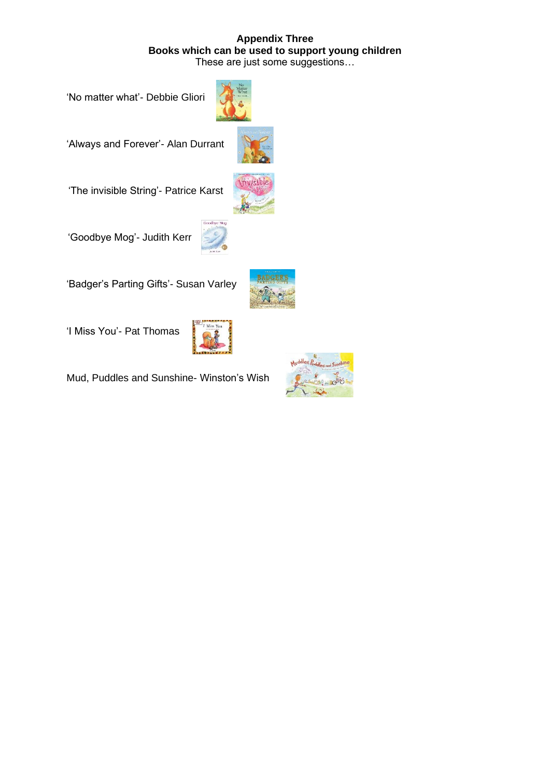#### **Appendix Three Books which can be used to support young children** These are just some suggestions…

'No matter what'- Debbie Gliori

'Always and Forever'- Alan Durrant

'The invisible String'- Patrice Karst

'Goodbye Mog'- Judith Kerr

'Badger's Parting Gifts'- Susan Varley





Mud, Puddles and Sunshine- Winston's Wish











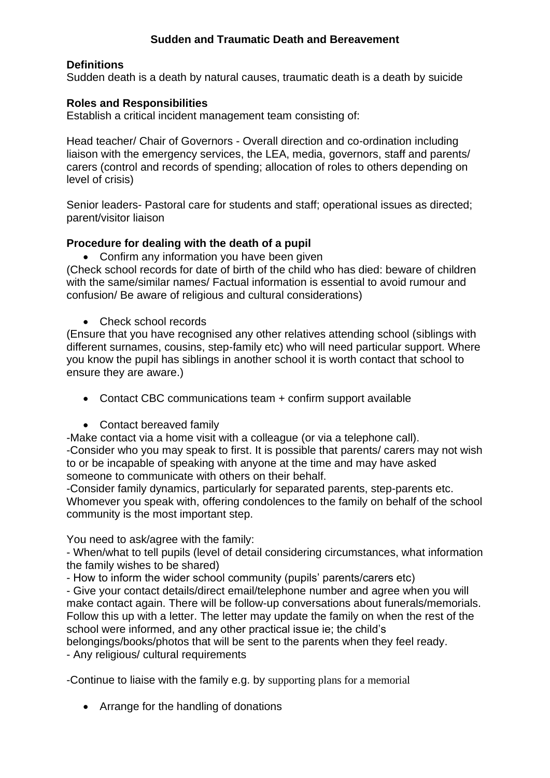## **Sudden and Traumatic Death and Bereavement**

### **Definitions**

Sudden death is a death by natural causes, traumatic death is a death by suicide

### **Roles and Responsibilities**

Establish a critical incident management team consisting of:

Head teacher/ Chair of Governors - Overall direction and co-ordination including liaison with the emergency services, the LEA, media, governors, staff and parents/ carers (control and records of spending; allocation of roles to others depending on level of crisis)

Senior leaders- Pastoral care for students and staff; operational issues as directed; parent/visitor liaison

## **Procedure for dealing with the death of a pupil**

• Confirm any information you have been given

(Check school records for date of birth of the child who has died: beware of children with the same/similar names/ Factual information is essential to avoid rumour and confusion/ Be aware of religious and cultural considerations)

• Check school records

(Ensure that you have recognised any other relatives attending school (siblings with different surnames, cousins, step-family etc) who will need particular support. Where you know the pupil has siblings in another school it is worth contact that school to ensure they are aware.)

• Contact CBC communications team + confirm support available

• Contact bereaved family

-Make contact via a home visit with a colleague (or via a telephone call). -Consider who you may speak to first. It is possible that parents/ carers may not wish to or be incapable of speaking with anyone at the time and may have asked someone to communicate with others on their behalf.

-Consider family dynamics, particularly for separated parents, step-parents etc. Whomever you speak with, offering condolences to the family on behalf of the school community is the most important step.

You need to ask/agree with the family:

- When/what to tell pupils (level of detail considering circumstances, what information the family wishes to be shared)

- How to inform the wider school community (pupils' parents/carers etc)

- Give your contact details/direct email/telephone number and agree when you will make contact again. There will be follow-up conversations about funerals/memorials. Follow this up with a letter. The letter may update the family on when the rest of the school were informed, and any other practical issue ie; the child's

belongings/books/photos that will be sent to the parents when they feel ready.

- Any religious/ cultural requirements

-Continue to liaise with the family e.g. by supporting plans for a memorial

• Arrange for the handling of donations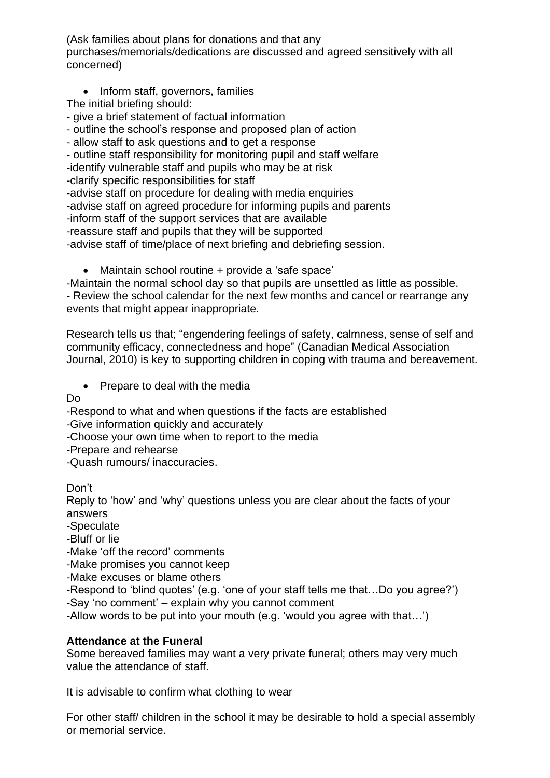(Ask families about plans for donations and that any purchases/memorials/dedications are discussed and agreed sensitively with all concerned)

• Inform staff, governors, families

The initial briefing should:

- give a brief statement of factual information
- outline the school's response and proposed plan of action
- allow staff to ask questions and to get a response
- outline staff responsibility for monitoring pupil and staff welfare
- -identify vulnerable staff and pupils who may be at risk

-clarify specific responsibilities for staff

- -advise staff on procedure for dealing with media enquiries
- -advise staff on agreed procedure for informing pupils and parents
- -inform staff of the support services that are available
- -reassure staff and pupils that they will be supported

-advise staff of time/place of next briefing and debriefing session.

• Maintain school routine + provide a 'safe space'

-Maintain the normal school day so that pupils are unsettled as little as possible. - Review the school calendar for the next few months and cancel or rearrange any events that might appear inappropriate.

Research tells us that; "engendering feelings of safety, calmness, sense of self and community efficacy, connectedness and hope" (Canadian Medical Association Journal, 2010) is key to supporting children in coping with trauma and bereavement.

• Prepare to deal with the media

Do

-Respond to what and when questions if the facts are established

- -Give information quickly and accurately
- -Choose your own time when to report to the media
- -Prepare and rehearse
- -Quash rumours/ inaccuracies.

Don't

Reply to 'how' and 'why' questions unless you are clear about the facts of your answers

- -Speculate
- -Bluff or lie
- -Make 'off the record' comments
- -Make promises you cannot keep
- -Make excuses or blame others
- -Respond to 'blind quotes' (e.g. 'one of your staff tells me that…Do you agree?')
- -Say 'no comment' explain why you cannot comment
- -Allow words to be put into your mouth (e.g. 'would you agree with that…')

## **Attendance at the Funeral**

Some bereaved families may want a very private funeral; others may very much value the attendance of staff.

It is advisable to confirm what clothing to wear

For other staff/ children in the school it may be desirable to hold a special assembly or memorial service.